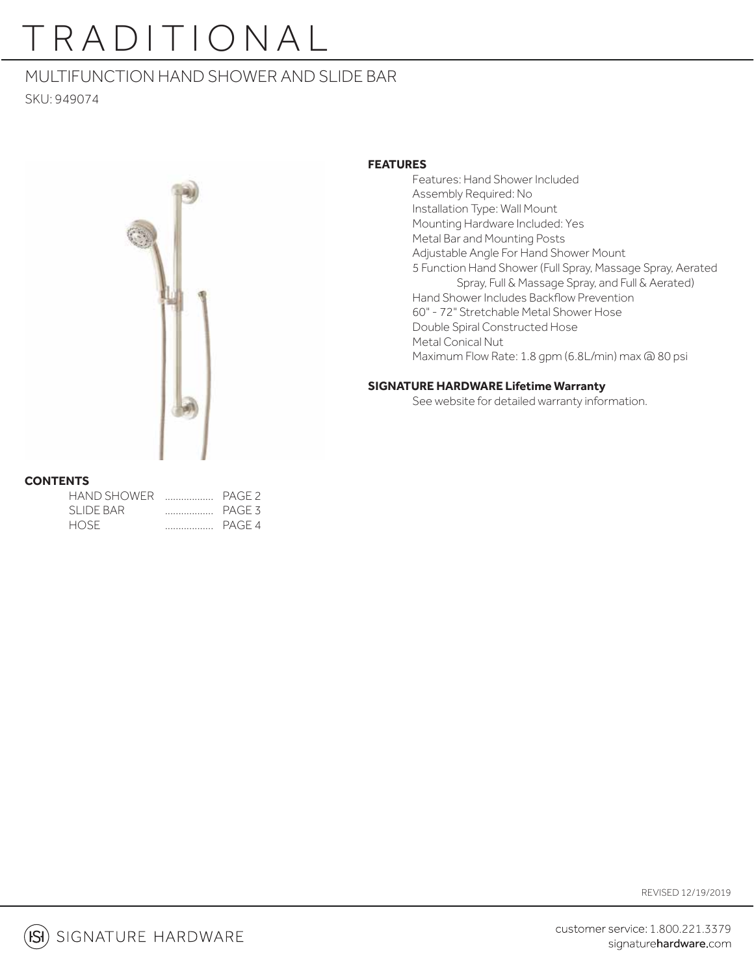## MULTIFUNCTION HAND SHOWER AND SLIDE BAR

SKU: 949074



### **FEATURES**

 Features: Hand Shower Included Assembly Required: No Installation Type: Wall Mount Mounting Hardware Included: Yes Metal Bar and Mounting Posts Adjustable Angle For Hand Shower Mount 5 Function Hand Shower (Full Spray, Massage Spray, Aerated Spray, Full & Massage Spray, and Full & Aerated) Hand Shower Includes Backflow Prevention 60" - 72" Stretchable Metal Shower Hose Double Spiral Constructed Hose Metal Conical Nut Maximum Flow Rate: 1.8 gpm (6.8L/min) max @ 80 psi

### **SIGNATURE HARDWARE Lifetime Warranty**

See website for detailed warranty information.

### **CONTENTS**

| HAND SHOWER |   | PAGE <sub>2</sub> |
|-------------|---|-------------------|
| SLIDE BAR   | . | PAGE 3            |
| HOSE        | . | PAGF <sub>4</sub> |

REVISED 12/19/2019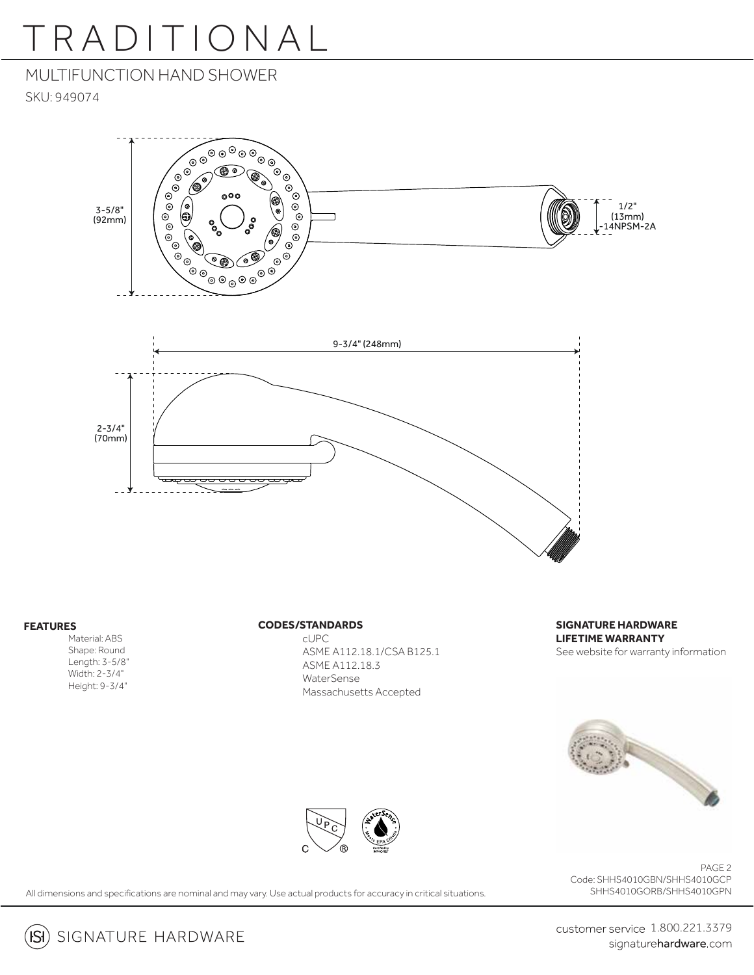## MULTIFUNCTION HAND SHOWER

SKU: 949074



#### **FEATURES**

 $(SI)$ 

 Material: ABS Shape: Round Length: 3-5/8" Width: 2-3/4" Height: 9-3/4"

#### **CODES/STANDARDS**

 cUPC ASME A112.18.1/CSA B125.1 ASME A112.18.3 **WaterSense** Massachusetts Accepted

**SIGNATURE HARDWARE LIFETIME WARRANTY** See website for warranty information





PAGE 2 Code: SHHS4010GBN/SHHS4010GCP SHHS4010GORB/SHHS4010GPN

All dimensions and specifications are nominal and may vary. Use actual products for accuracy in critical situations.

SIGNATURE HARDWARE

customer service 1.800.221.3379 signaturehardware.com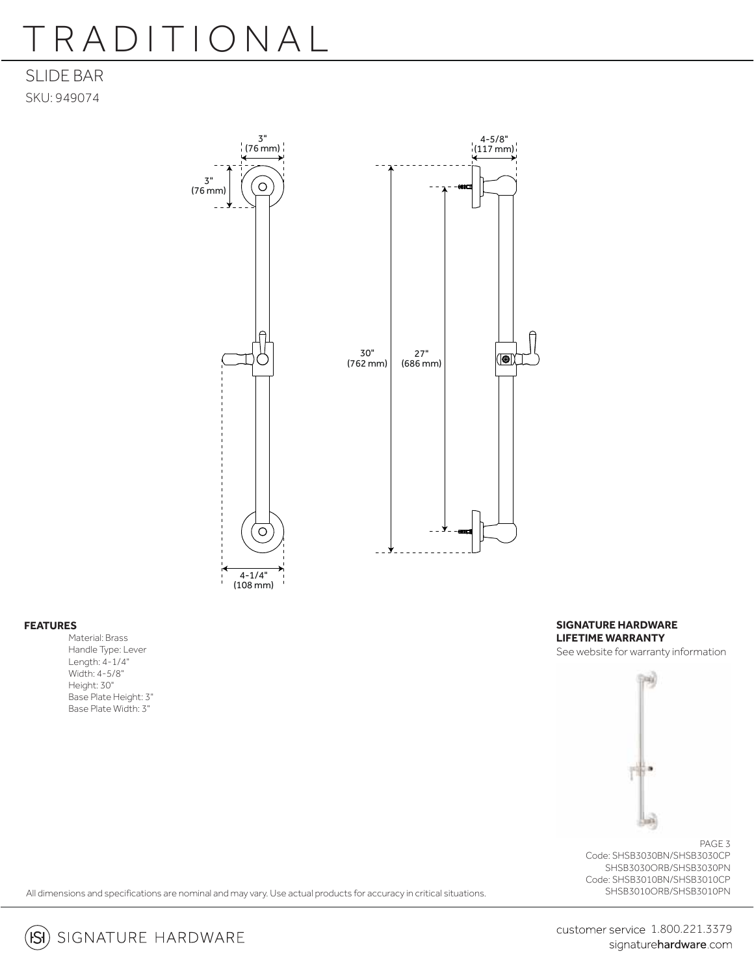### SLIDE BAR SKU: 949074



#### **FEATURES**

Material: Brass Handle Type: Lever Length: 4-1/4" Width: 4-5/8" Height: 30" Base Plate Height: 3" Base Plate Width: 3"

**SIGNATURE HARDWARE LIFETIME WARRANTY** See website for warranty information



PAGE 3 Code: SHSB3030BN/SHSB3030CP SHSB3030ORB/SHSB3030PN Code: SHSB3010BN/SHSB3010CP SHSB3010ORB/SHSB3010PN

All dimensions and specifications are nominal and may vary. Use actual products for accuracy in critical situations.